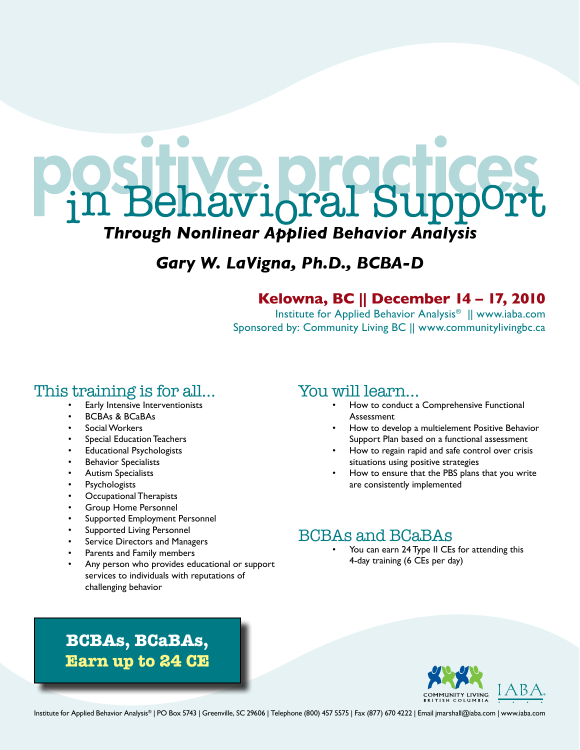

## *Gary W. LaVigna, Ph.D., BCBA-D*

### **Kelowna, BC || December 14 – 17, 2010**

Institute for Applied Behavior Analysis® || www.iaba.com Sponsored by: Community Living BC || www.communitylivingbc.ca

### This training is for all…

- Early Intensive Interventionists
- **BCBAs & BCaBAs**
- Social Workers
- Special Education Teachers
- **Educational Psychologists**
- **Behavior Specialists**
- Autism Specialists
- **Psychologists**
- **Occupational Therapists**
- **Group Home Personnel**
- Supported Employment Personnel
- Supported Living Personnel
- Service Directors and Managers
- Parents and Family members
- Any person who provides educational or support services to individuals with reputations of challenging behavior

### You will learn…

- How to conduct a Comprehensive Functional Assessment
- How to develop a multielement Positive Behavior Support Plan based on a functional assessment
- How to regain rapid and safe control over crisis situations using positive strategies
- How to ensure that the PBS plans that you write are consistently implemented

## BCBAs and BCaBAs

You can earn 24 Type II CEs for attending this 4-day training (6 CEs per day)





Institute for Applied Behavior Analysis® | PO Box 5743 | Greenville, SC 29606 | Telephone (800) 457 5575 | Fax (877) 670 4222 | Email jmarshall@iaba.com | www.iaba.com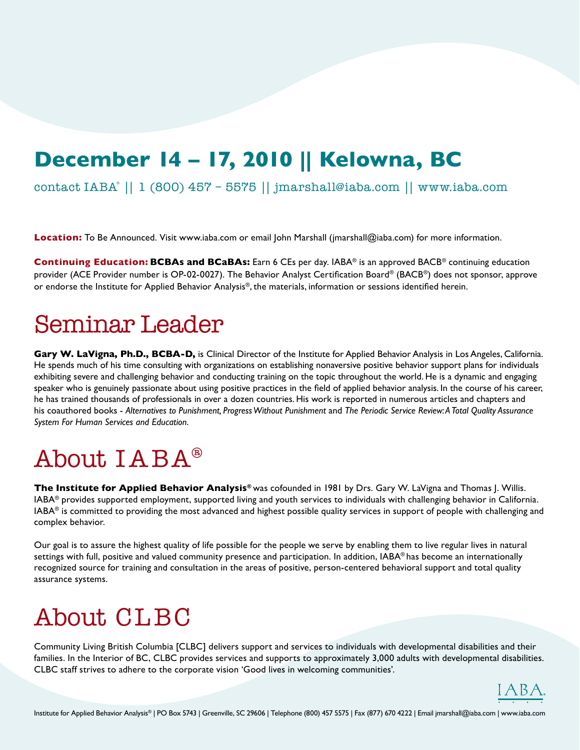## **December 14 – 17, 2010 || Kelowna, BC**

contact IABA® || 1 (800) 457 – 5575 || jmarshall@iaba.com || www.iaba.com

**Location:** To Be Announced. Visit www.iaba.com or email John Marshall (jmarshall@iaba.com) for more information.

**Continuing Education: BCBAs and BCaBAs:** Earn 6 CEs per day. IABA® is an approved BACB® continuing education provider (ACE Provider number is OP-02-0027). The Behavior Analyst Certification Board® (BACB®) does not sponsor, approve or endorse the Institute for Applied Behavior Analysis®, the materials, information or sessions identified herein.

## Seminar Leader

**Gary W. LaVigna, Ph.D., BCBA-D,** is Clinical Director of the Institute for Applied Behavior Analysis in Los Angeles, California. He spends much of his time consulting with organizations on establishing nonaversive positive behavior support plans for individuals exhibiting severe and challenging behavior and conducting training on the topic throughout the world. He is a dynamic and engaging speaker who is genuinely passionate about using positive practices in the field of applied behavior analysis. In the course of his career, he has trained thousands of professionals in over a dozen countries. His work is reported in numerous articles and chapters and his coauthored books - *Alternatives to Punishment, Progress Without Punishment* and *The Periodic Service Review: A Total Quality Assurance System For Human Services and Education*.

# About IABA®

**The Institute for Applied Behavior Analysis®** was cofounded in 1981 by Drs. Gary W. LaVigna and Thomas J. Willis. IABA® provides supported employment, supported living and youth services to individuals with challenging behavior in California. IABA® is committed to providing the most advanced and highest possible quality services in support of people with challenging and complex behavior.

Our goal is to assure the highest quality of life possible for the people we serve by enabling them to live regular lives in natural settings with full, positive and valued community presence and participation. In addition, IABA® has become an internationally recognized source for training and consultation in the areas of positive, person-centered behavioral support and total quality assurance systems.

# About CLBC

Community Living British Columbia [CLBC] delivers support and services to individuals with developmental disabilities and their families. In the Interior of BC, CLBC provides services and supports to approximately 3,000 adults with developmental disabilities. CLBC staff strives to adhere to the corporate vision 'Good lives in welcoming communities'.

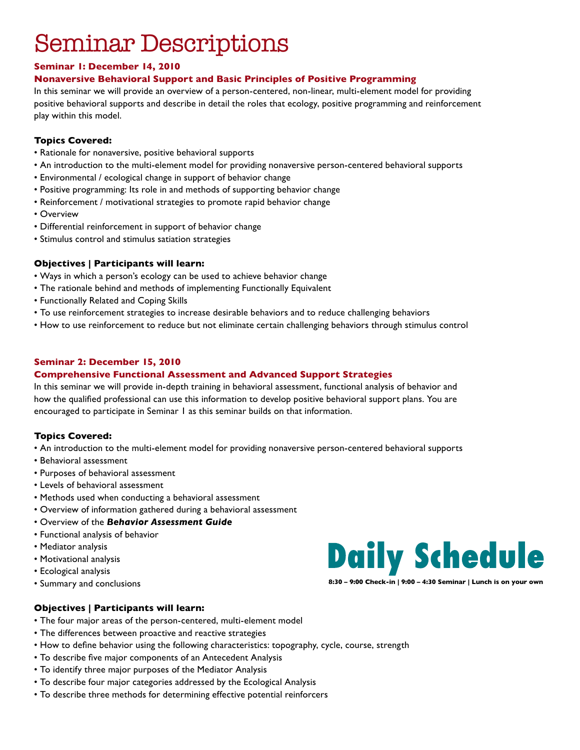## Seminar Descriptions

#### **Seminar 1: December 14, 2010**

#### **Nonaversive Behavioral Support and Basic Principles of Positive Programming**

In this seminar we will provide an overview of a person-centered, non-linear, multi-element model for providing positive behavioral supports and describe in detail the roles that ecology, positive programming and reinforcement play within this model.

#### **Topics Covered:**

- Rationale for nonaversive, positive behavioral supports
- An introduction to the multi-element model for providing nonaversive person-centered behavioral supports
- Environmental / ecological change in support of behavior change
- Positive programming: Its role in and methods of supporting behavior change
- Reinforcement / motivational strategies to promote rapid behavior change
- Overview
- Differential reinforcement in support of behavior change
- Stimulus control and stimulus satiation strategies

#### **Objectives | Participants will learn:**

- Ways in which a person's ecology can be used to achieve behavior change
- The rationale behind and methods of implementing Functionally Equivalent
- Functionally Related and Coping Skills
- To use reinforcement strategies to increase desirable behaviors and to reduce challenging behaviors
- How to use reinforcement to reduce but not eliminate certain challenging behaviors through stimulus control

#### **Seminar 2: December 15, 2010**

#### **Comprehensive Functional Assessment and Advanced Support Strategies**

In this seminar we will provide in-depth training in behavioral assessment, functional analysis of behavior and how the qualified professional can use this information to develop positive behavioral support plans. You are encouraged to participate in Seminar 1 as this seminar builds on that information.

#### **Topics Covered:**

- An introduction to the multi-element model for providing nonaversive person-centered behavioral supports
- Behavioral assessment
- Purposes of behavioral assessment
- Levels of behavioral assessment
- Methods used when conducting a behavioral assessment
- Overview of information gathered during a behavioral assessment
- Overview of the *Behavior Assessment Guide*
- Functional analysis of behavior
- Mediator analysis
- Motivational analysis
- Ecological analysis
- Summary and conclusions

#### **Objectives | Participants will learn:**

- The four major areas of the person-centered, multi-element model
- The differences between proactive and reactive strategies
- How to define behavior using the following characteristics: topography, cycle, course, strength
- To describe five major components of an Antecedent Analysis
- To identify three major purposes of the Mediator Analysis
- To describe four major categories addressed by the Ecological Analysis
- To describe three methods for determining effective potential reinforcers



**8:30 – 9:00 Check-in | 9:00 – 4:30 Seminar | Lunch is on your own**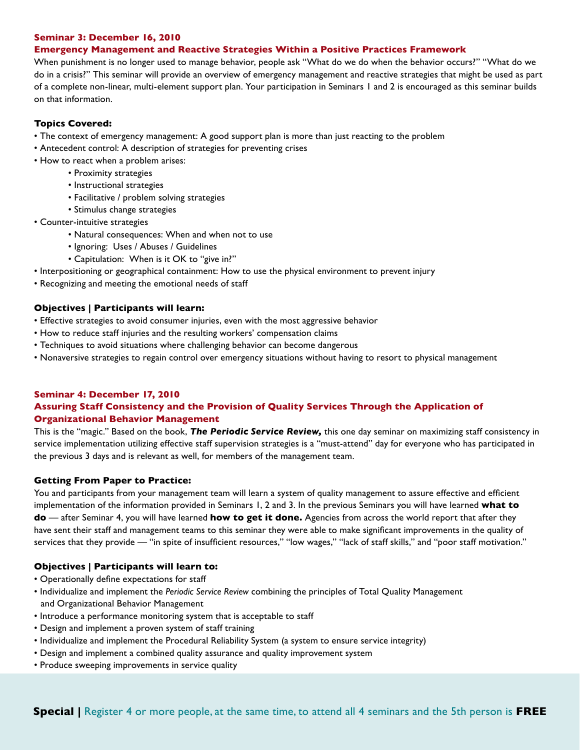#### **Seminar 3: December 16, 2010**

#### **Emergency Management and Reactive Strategies Within a Positive Practices Framework**

When punishment is no longer used to manage behavior, people ask "What do we do when the behavior occurs?" "What do we do in a crisis?" This seminar will provide an overview of emergency management and reactive strategies that might be used as part of a complete non-linear, multi-element support plan. Your participation in Seminars 1 and 2 is encouraged as this seminar builds on that information.

#### **Topics Covered:**

- The context of emergency management: A good support plan is more than just reacting to the problem
- Antecedent control: A description of strategies for preventing crises
- How to react when a problem arises:
	- Proximity strategies
	- Instructional strategies
	- Facilitative / problem solving strategies
	- Stimulus change strategies
- Counter-intuitive strategies
	- Natural consequences: When and when not to use
	- Ignoring: Uses / Abuses / Guidelines
	- Capitulation: When is it OK to "give in?"
- Interpositioning or geographical containment: How to use the physical environment to prevent injury
- Recognizing and meeting the emotional needs of staff

#### **Objectives | Participants will learn:**

- Effective strategies to avoid consumer injuries, even with the most aggressive behavior
- How to reduce staff injuries and the resulting workers' compensation claims
- Techniques to avoid situations where challenging behavior can become dangerous
- Nonaversive strategies to regain control over emergency situations without having to resort to physical management

#### **Seminar 4: December 17, 2010 Assuring Staff Consistency and the Provision of Quality Services Through the Application of Organizational Behavior Management**

This is the "magic." Based on the book, *The Periodic Service Review,* this one day seminar on maximizing staff consistency in service implementation utilizing effective staff supervision strategies is a "must-attend" day for everyone who has participated in the previous 3 days and is relevant as well, for members of the management team.

#### **Getting From Paper to Practice:**

You and participants from your management team will learn a system of quality management to assure effective and efficient implementation of the information provided in Seminars 1, 2 and 3. In the previous Seminars you will have learned **what to do** — after Seminar 4, you will have learned **how to get it done.** Agencies from across the world report that after they have sent their staff and management teams to this seminar they were able to make significant improvements in the quality of services that they provide — "in spite of insufficient resources," "low wages," "lack of staff skills," and "poor staff motivation."

#### **Objectives | Participants will learn to:**

- Operationally define expectations for staff
- Individualize and implement the *Periodic Service Review* combining the principles of Total Quality Management and Organizational Behavior Management
- Introduce a performance monitoring system that is acceptable to staff
- Design and implement a proven system of staff training
- Individualize and implement the Procedural Reliability System (a system to ensure service integrity)
- Design and implement a combined quality assurance and quality improvement system
- Produce sweeping improvements in service quality